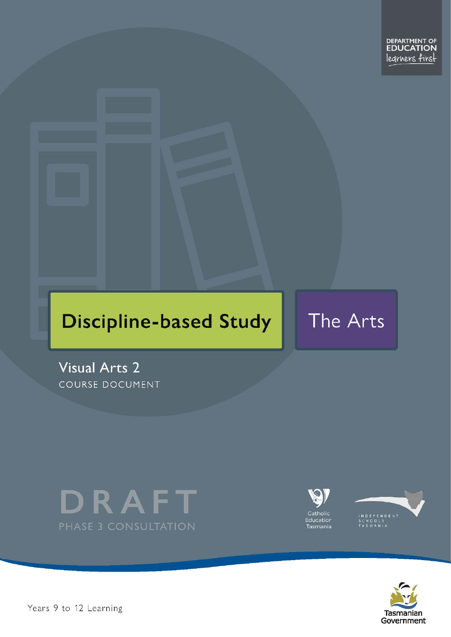# **Discipline-based Study**

The Arts

**Visual Arts 2** COURSE DOCUMENT







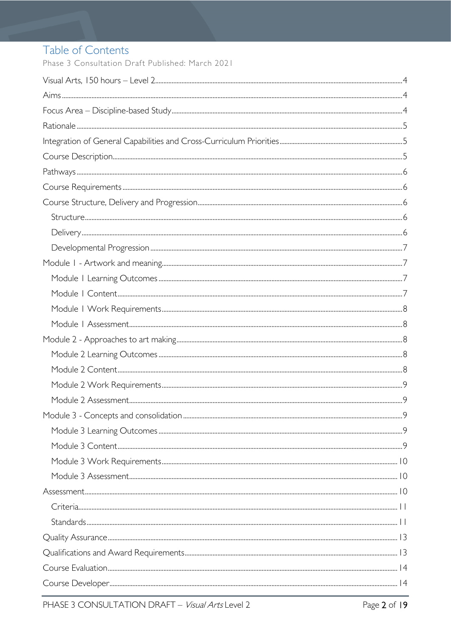# Table of Contents

Phase 3 Consultation Draft Published: March 2021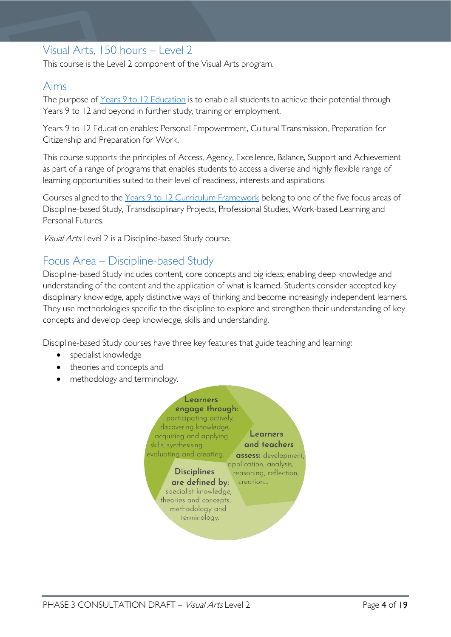# <span id="page-3-0"></span>Visual Arts, 150 hours – Level 2

This course is the Level 2 component of the Visual Arts program.

# <span id="page-3-1"></span>Aims

The purpose of Years 9 to 12 [Education](https://publicdocumentcentre.education.tas.gov.au/library/Shared%20Documents/Years-9-to-12-Education-Framework.pdf) is to enable all students to achieve their potential through Years 9 to 12 and beyond in further study, training or employment.

Years 9 to 12 Education enables: Personal Empowerment, Cultural Transmission, Preparation for Citizenship and Preparation for Work.

This course supports the principles of Access, Agency, Excellence, Balance, Support and Achievement as part of a range of programs that enables students to access a diverse and highly flexible range of learning opportunities suited to their level of readiness, interests and aspirations.

Courses aligned to the Years 9 to 12 Curriculum [Framework](https://publicdocumentcentre.education.tas.gov.au/library/Shared%20Documents/Education%209-12%20Frameworks%20A3%20WEB%20POSTER.pdf) belong to one of the five focus areas of Discipline-based Study, Transdisciplinary Projects, Professional Studies, Work-based Learning and Personal Futures.

Visual Arts Level 2 is a Discipline-based Study course.

# <span id="page-3-2"></span>Focus Area – Discipline-based Study

Discipline-based Study includes content, core concepts and big ideas; enabling deep knowledge and understanding of the content and the application of what is learned. Students consider accepted key disciplinary knowledge, apply distinctive ways of thinking and become increasingly independent learners. They use methodologies specific to the discipline to explore and strengthen their understanding of key concepts and develop deep knowledge, skills and understanding.

Discipline-based Study courses have three key features that guide teaching and learning:

- specialist knowledge
- theories and concepts and
- methodology and terminology.

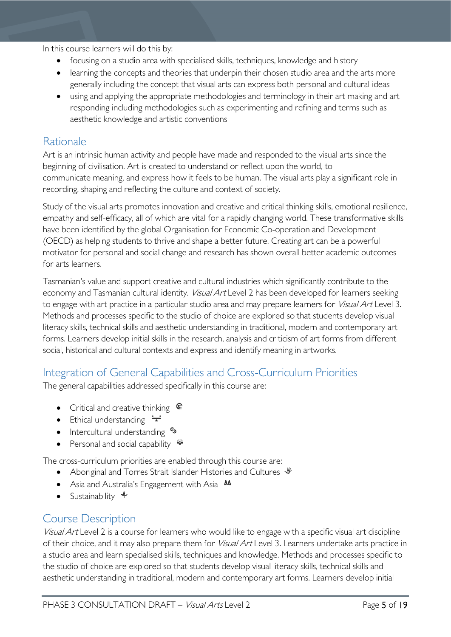In this course learners will do this by:

- focusing on a studio area with specialised skills, techniques, knowledge and history
- learning the concepts and theories that underpin their chosen studio area and the arts more generally including the concept that visual arts can express both personal and cultural ideas
- using and applying the appropriate methodologies and terminology in their art making and art responding including methodologies such as experimenting and refining and terms such as aesthetic knowledge and artistic conventions

## <span id="page-4-0"></span>Rationale

Art is an intrinsic human activity and people have made and responded to the visual arts since the beginning of civilisation. Art is created to understand or reflect upon the world, to communicate meaning, and express how it feels to be human. The visual arts play a significant role in recording, shaping and reflecting the culture and context of society.

Study of the visual arts promotes innovation and creative and critical thinking skills, emotional resilience, empathy and self-efficacy, all of which are vital for a rapidly changing world. These transformative skills have been identified by the global Organisation for Economic Co-operation and Development (OECD) as helping students to thrive and shape a better future. Creating art can be a powerful motivator for personal and social change and research has shown overall better academic outcomes for arts learners.

Tasmanian's value and support creative and cultural industries which significantly contribute to the economy and Tasmanian cultural identity. Visual Art Level 2 has been developed for learners seeking to engage with art practice in a particular studio area and may prepare learners for Visual Art Level 3. Methods and processes specific to the studio of choice are explored so that students develop visual literacy skills, technical skills and aesthetic understanding in traditional, modern and contemporary art forms. Learners develop initial skills in the research, analysis and criticism of art forms from different social, historical and cultural contexts and express and identify meaning in artworks.

# <span id="page-4-1"></span>Integration of General Capabilities and Cross-Curriculum Priorities

The general capabilities addressed specifically in this course are:

- Critical and creative thinking  $\mathbb{C}$
- Ethical understanding  $\div$
- Intercultural understanding •
- Personal and social capability

The cross-curriculum priorities are enabled through this course are:

- Aboriginal and Torres Strait Islander Histories and Cultures
- Asia and Australia's Engagement with Asia **MA**
- Sustainability  $\triangleleft$

# <span id="page-4-2"></span>Course Description

Visual Art Level 2 is a course for learners who would like to engage with a specific visual art discipline of their choice, and it may also prepare them for *Visual Art* Level 3. Learners undertake arts practice in a studio area and learn specialised skills, techniques and knowledge. Methods and processes specific to the studio of choice are explored so that students develop visual literacy skills, technical skills and aesthetic understanding in traditional, modern and contemporary art forms. Learners develop initial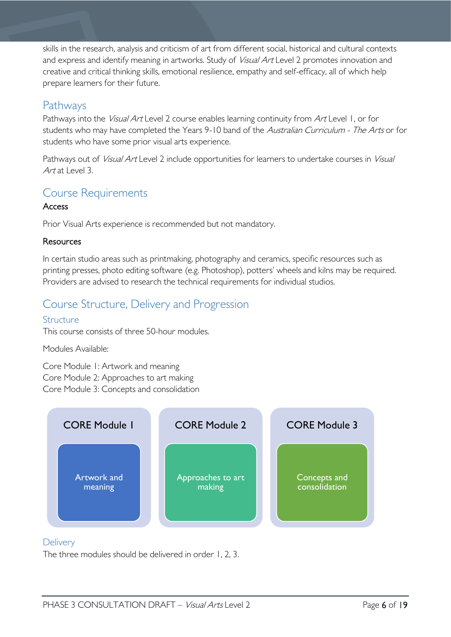skills in the research, analysis and criticism of art from different social, historical and cultural contexts and express and identify meaning in artworks. Study of *Visual Art* Level 2 promotes innovation and creative and critical thinking skills, emotional resilience, empathy and self-efficacy, all of which help prepare learners for their future.

# <span id="page-5-0"></span>Pathways

Pathways into the *Visual Art* Level 2 course enables learning continuity from Art Level 1, or for students who may have completed the Years 9-10 band of the Australian Curriculum - The Arts or for students who have some prior visual arts experience.

Pathways out of Visual Art Level 2 include opportunities for learners to undertake courses in Visual Art at Level 3.

# <span id="page-5-1"></span>Course Requirements

### **Access**

Prior Visual Arts experience is recommended but not mandatory.

### **Resources**

In certain studio areas such as printmaking, photography and ceramics, specific resources such as printing presses, photo editing software (e.g. Photoshop), potters' wheels and kilns may be required. Providers are advised to research the technical requirements for individual studios.

# <span id="page-5-2"></span>Course Structure, Delivery and Progression

### <span id="page-5-3"></span>**Structure**

This course consists of three 50-hour modules.

### Modules Available:

Core Module 1: Artwork and meaning Core Module 2: Approaches to art making Core Module 3: Concepts and consolidation



### <span id="page-5-4"></span>**Delivery**

The three modules should be delivered in order 1, 2, 3.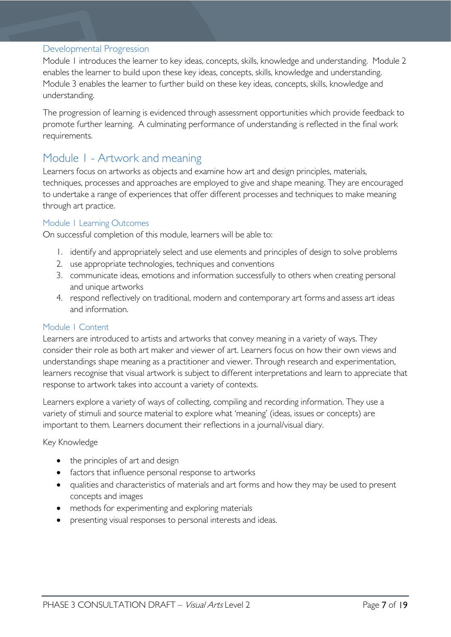#### <span id="page-6-0"></span>Developmental Progression

Module 1 introduces the learner to key ideas, concepts, skills, knowledge and understanding. Module 2 enables the learner to build upon these key ideas, concepts, skills, knowledge and understanding. Module 3 enables the learner to further build on these key ideas, concepts, skills, knowledge and understanding.

The progression of learning is evidenced through assessment opportunities which provide feedback to promote further learning. A culminating performance of understanding is reflected in the final work requirements.

# <span id="page-6-1"></span>Module 1 - Artwork and meaning

Learners focus on artworks as objects and examine how art and design principles, materials, techniques, processes and approaches are employed to give and shape meaning. They are encouraged to undertake a range of experiences that offer different processes and techniques to make meaning through art practice.

#### <span id="page-6-2"></span>Module 1 Learning Outcomes

On successful completion of this module, learners will be able to:

- 1. identify and appropriately select and use elements and principles of design to solve problems
- 2. use appropriate technologies, techniques and conventions
- 3. communicate ideas, emotions and information successfully to others when creating personal and unique artworks
- 4. respond reflectively on traditional, modern and contemporary art forms and assess art ideas and information.

#### <span id="page-6-3"></span>Module 1 Content

Learners are introduced to artists and artworks that convey meaning in a variety of ways. They consider their role as both art maker and viewer of art. Learners focus on how their own views and understandings shape meaning as a practitioner and viewer. Through research and experimentation, learners recognise that visual artwork is subject to different interpretations and learn to appreciate that response to artwork takes into account a variety of contexts.

Learners explore a variety of ways of collecting, compiling and recording information. They use a variety of stimuli and source material to explore what 'meaning' (ideas, issues or concepts) are important to them. Learners document their reflections in a journal/visual diary.

#### Key Knowledge

- the principles of art and design
- factors that influence personal response to artworks
- qualities and characteristics of materials and art forms and how they may be used to present concepts and images
- methods for experimenting and exploring materials
- presenting visual responses to personal interests and ideas.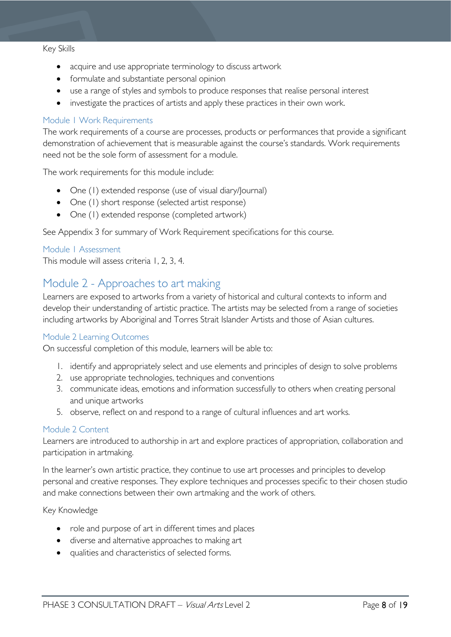#### Key Skills

- acquire and use appropriate terminology to discuss artwork
- formulate and substantiate personal opinion
- use a range of styles and symbols to produce responses that realise personal interest
- investigate the practices of artists and apply these practices in their own work.

#### <span id="page-7-0"></span>Module 1 Work Requirements

The work requirements of a course are processes, products or performances that provide a significant demonstration of achievement that is measurable against the course's standards. Work requirements need not be the sole form of assessment for a module.

The work requirements for this module include:

- One (1) extended response (use of visual diary/Journal)
- One (1) short response (selected artist response)
- One (1) extended response (completed artwork)

See Appendix 3 for summary of Work Requirement specifications for this course.

#### <span id="page-7-1"></span>Module 1 Assessment

This module will assess criteria 1, 2, 3, 4.

## <span id="page-7-2"></span>Module 2 - Approaches to art making

Learners are exposed to artworks from a variety of historical and cultural contexts to inform and develop their understanding of artistic practice. The artists may be selected from a range of societies including artworks by Aboriginal and Torres Strait Islander Artists and those of Asian cultures.

#### <span id="page-7-3"></span>Module 2 Learning Outcomes

On successful completion of this module, learners will be able to:

- 1. identify and appropriately select and use elements and principles of design to solve problems
- 2. use appropriate technologies, techniques and conventions
- 3. communicate ideas, emotions and information successfully to others when creating personal and unique artworks
- 5. observe, reflect on and respond to a range of cultural influences and art works.

#### <span id="page-7-4"></span>Module 2 Content

Learners are introduced to authorship in art and explore practices of appropriation, collaboration and participation in artmaking.

In the learner's own artistic practice, they continue to use art processes and principles to develop personal and creative responses. They explore techniques and processes specific to their chosen studio and make connections between their own artmaking and the work of others.

#### Key Knowledge

- role and purpose of art in different times and places
- diverse and alternative approaches to making art
- qualities and characteristics of selected forms.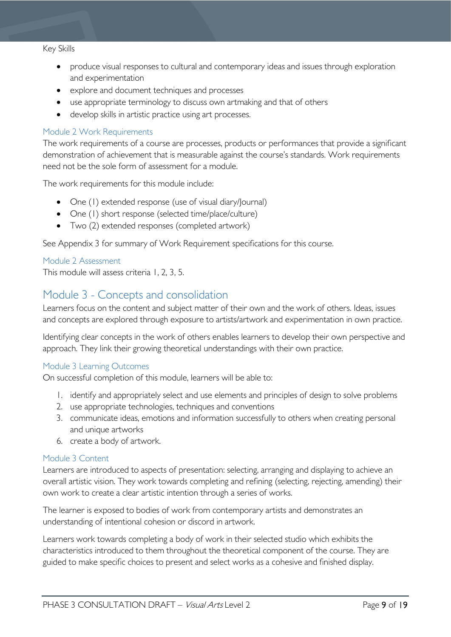#### Key Skills

- produce visual responses to cultural and contemporary ideas and issues through exploration and experimentation
- explore and document techniques and processes
- use appropriate terminology to discuss own artmaking and that of others
- develop skills in artistic practice using art processes.

#### <span id="page-8-0"></span>Module 2 Work Requirements

The work requirements of a course are processes, products or performances that provide a significant demonstration of achievement that is measurable against the course's standards. Work requirements need not be the sole form of assessment for a module.

The work requirements for this module include:

- One (1) extended response (use of visual diary/Journal)
- One (1) short response (selected time/place/culture)
- Two (2) extended responses (completed artwork)

See Appendix 3 for summary of Work Requirement specifications for this course.

#### <span id="page-8-1"></span>Module 2 Assessment

This module will assess criteria 1, 2, 3, 5.

## <span id="page-8-2"></span>Module 3 - Concepts and consolidation

Learners focus on the content and subject matter of their own and the work of others. Ideas, issues and concepts are explored through exposure to artists/artwork and experimentation in own practice.

Identifying clear concepts in the work of others enables learners to develop their own perspective and approach. They link their growing theoretical understandings with their own practice.

#### <span id="page-8-3"></span>Module 3 Learning Outcomes

On successful completion of this module, learners will be able to:

- 1. identify and appropriately select and use elements and principles of design to solve problems
- 2. use appropriate technologies, techniques and conventions
- 3. communicate ideas, emotions and information successfully to others when creating personal and unique artworks
- 6. create a body of artwork.

#### <span id="page-8-4"></span>Module 3 Content

Learners are introduced to aspects of presentation: selecting, arranging and displaying to achieve an overall artistic vision. They work towards completing and refining (selecting, rejecting, amending) their own work to create a clear artistic intention through a series of works.

The learner is exposed to bodies of work from contemporary artists and demonstrates an understanding of intentional cohesion or discord in artwork.

Learners work towards completing a body of work in their selected studio which exhibits the characteristics introduced to them throughout the theoretical component of the course. They are guided to make specific choices to present and select works as a cohesive and finished display.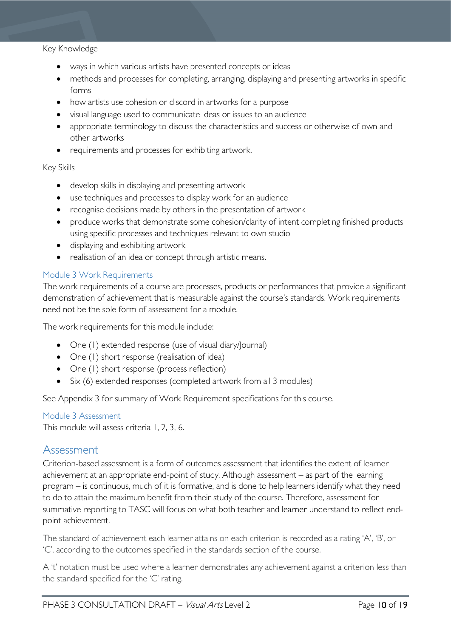#### Key Knowledge

- ways in which various artists have presented concepts or ideas
- methods and processes for completing, arranging, displaying and presenting artworks in specific forms
- how artists use cohesion or discord in artworks for a purpose
- visual language used to communicate ideas or issues to an audience
- appropriate terminology to discuss the characteristics and success or otherwise of own and other artworks
- requirements and processes for exhibiting artwork.

#### Key Skills

- develop skills in displaying and presenting artwork
- use techniques and processes to display work for an audience
- recognise decisions made by others in the presentation of artwork
- produce works that demonstrate some cohesion/clarity of intent completing finished products using specific processes and techniques relevant to own studio
- displaying and exhibiting artwork
- realisation of an idea or concept through artistic means.

#### <span id="page-9-0"></span>Module 3 Work Requirements

The work requirements of a course are processes, products or performances that provide a significant demonstration of achievement that is measurable against the course's standards. Work requirements need not be the sole form of assessment for a module.

The work requirements for this module include:

- One (1) extended response (use of visual diary/Journal)
- One (1) short response (realisation of idea)
- One (1) short response (process reflection)
- Six (6) extended responses (completed artwork from all 3 modules)

See Appendix 3 for summary of Work Requirement specifications for this course.

#### <span id="page-9-1"></span>Module 3 Assessment

This module will assess criteria 1, 2, 3, 6.

### <span id="page-9-2"></span>Assessment

Criterion-based assessment is a form of outcomes assessment that identifies the extent of learner achievement at an appropriate end-point of study. Although assessment – as part of the learning program – is continuous, much of it is formative, and is done to help learners identify what they need to do to attain the maximum benefit from their study of the course. Therefore, assessment for summative reporting to TASC will focus on what both teacher and learner understand to reflect endpoint achievement.

The standard of achievement each learner attains on each criterion is recorded as a rating 'A', 'B', or 'C', according to the outcomes specified in the standards section of the course.

A 't' notation must be used where a learner demonstrates any achievement against a criterion less than the standard specified for the 'C' rating.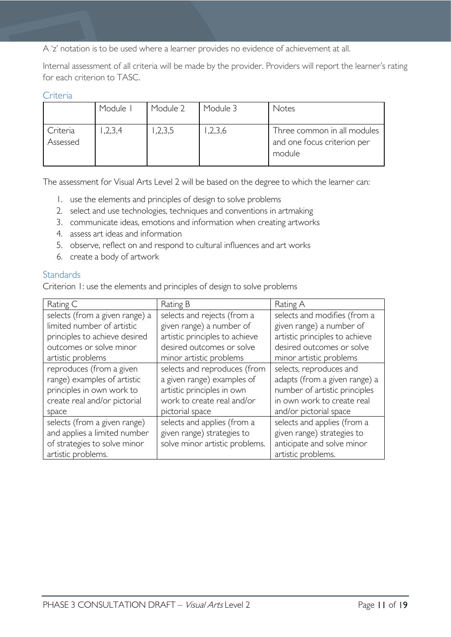A 'z' notation is to be used where a learner provides no evidence of achievement at all.

Internal assessment of all criteria will be made by the provider. Providers will report the learner's rating for each criterion to TASC.

#### <span id="page-10-0"></span>**Criteria**

|                      | Module I | Module 2 | Module 3 | Notes                                                                |
|----------------------|----------|----------|----------|----------------------------------------------------------------------|
| Criteria<br>Assessed | 1,2,3,4  | ,2,3,5   | ,2,3,6   | Three common in all modules<br>and one focus criterion per<br>module |

The assessment for Visual Arts Level 2 will be based on the degree to which the learner can:

- 1. use the elements and principles of design to solve problems
- 2. select and use technologies, techniques and conventions in artmaking
- 3. communicate ideas, emotions and information when creating artworks
- 4. assess art ideas and information
- 5. observe, reflect on and respond to cultural influences and art works
- 6. create a body of artwork

#### <span id="page-10-1"></span>**Standards**

Criterion 1: use the elements and principles of design to solve problems

| Rating C                       | Rating B                       | Rating A                       |
|--------------------------------|--------------------------------|--------------------------------|
| selects (from a given range) a | selects and rejects (from a    | selects and modifies (from a   |
| limited number of artistic     | given range) a number of       | given range) a number of       |
| principles to achieve desired  | artistic principles to achieve | artistic principles to achieve |
| outcomes or solve minor        | desired outcomes or solve      | desired outcomes or solve      |
| artistic problems              | minor artistic problems        | minor artistic problems        |
| reproduces (from a given       | selects and reproduces (from   | selects, reproduces and        |
| range) examples of artistic    | a given range) examples of     | adapts (from a given range) a  |
| principles in own work to      | artistic principles in own     | number of artistic principles  |
| create real and/or pictorial   | work to create real and/or     | in own work to create real     |
| space                          | pictorial space                | and/or pictorial space         |
| selects (from a given range)   | selects and applies (from a    | selects and applies (from a    |
| and applies a limited number   | given range) strategies to     | given range) strategies to     |
| of strategies to solve minor   | solve minor artistic problems. | anticipate and solve minor     |
| artistic problems.             |                                | artistic problems.             |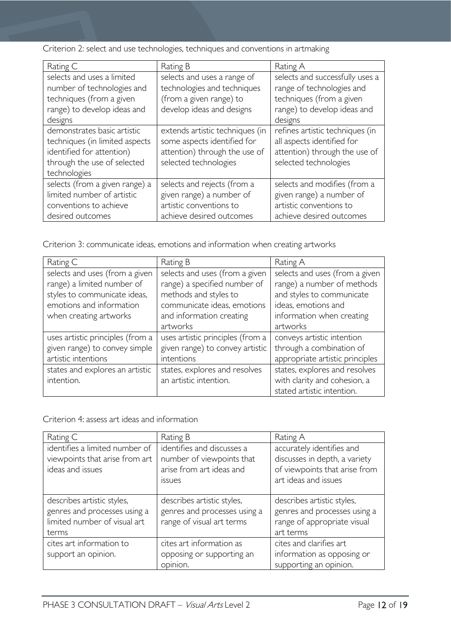|  |  |  | Criterion 2: select and use technologies, techniques and conventions in artmaking |  |
|--|--|--|-----------------------------------------------------------------------------------|--|
|  |  |  |                                                                                   |  |
|  |  |  |                                                                                   |  |
|  |  |  |                                                                                   |  |

| Rating C                       | Rating B                        | Rating A                        |
|--------------------------------|---------------------------------|---------------------------------|
| selects and uses a limited     | selects and uses a range of     | selects and successfully uses a |
| number of technologies and     | technologies and techniques     | range of technologies and       |
| techniques (from a given       | (from a given range) to         | techniques (from a given        |
| range) to develop ideas and    | develop ideas and designs       | range) to develop ideas and     |
| designs                        |                                 | designs                         |
| demonstrates basic artistic    | extends artistic techniques (in | refines artistic techniques (in |
| techniques (in limited aspects | some aspects identified for     | all aspects identified for      |
| identified for attention)      | attention) through the use of   | attention) through the use of   |
| through the use of selected    | selected technologies           | selected technologies           |
| technologies                   |                                 |                                 |
| selects (from a given range) a | selects and rejects (from a     | selects and modifies (from a    |
| limited number of artistic     | given range) a number of        | given range) a number of        |
| conventions to achieve         | artistic conventions to         | artistic conventions to         |
| desired outcomes               | achieve desired outcomes        | achieve desired outcomes        |

Criterion 3: communicate ideas, emotions and information when creating artworks

| Rating C                         | Rating B                         | Rating A                        |
|----------------------------------|----------------------------------|---------------------------------|
| selects and uses (from a given   | selects and uses (from a given   | selects and uses (from a given  |
| range) a limited number of       | range) a specified number of     | range) a number of methods      |
| styles to communicate ideas,     | methods and styles to            | and styles to communicate       |
| emotions and information         | communicate ideas, emotions      | ideas, emotions and             |
| when creating artworks           | and information creating         | information when creating       |
|                                  | artworks                         | artworks                        |
| uses artistic principles (from a | uses artistic principles (from a | conveys artistic intention      |
| given range) to convey simple    | given range) to convey artistic  | through a combination of        |
| artistic intentions              | intentions                       | appropriate artistic principles |
| states and explores an artistic  | states, explores and resolves    | states, explores and resolves   |
| intention.                       | an artistic intention.           | with clarity and cohesion, a    |
|                                  |                                  | stated artistic intention.      |

Criterion 4: assess art ideas and information

| Rating C                                                                                            | Rating B                                                                                             | Rating A                                                                                                            |
|-----------------------------------------------------------------------------------------------------|------------------------------------------------------------------------------------------------------|---------------------------------------------------------------------------------------------------------------------|
| identifies a limited number of<br>viewpoints that arise from art<br>ideas and issues                | identifies and discusses a<br>number of viewpoints that<br>arise from art ideas and<br><i>issues</i> | accurately identifies and<br>discusses in depth, a variety<br>of viewpoints that arise from<br>art ideas and issues |
| describes artistic styles,<br>genres and processes using a<br>limited number of visual art<br>terms | describes artistic styles,<br>genres and processes using a<br>range of visual art terms              | describes artistic styles,<br>genres and processes using a<br>range of appropriate visual<br>art terms              |
| cites art information to<br>support an opinion.                                                     | cites art information as<br>opposing or supporting an<br>opinion.                                    | cites and clarifies art<br>information as opposing or<br>supporting an opinion.                                     |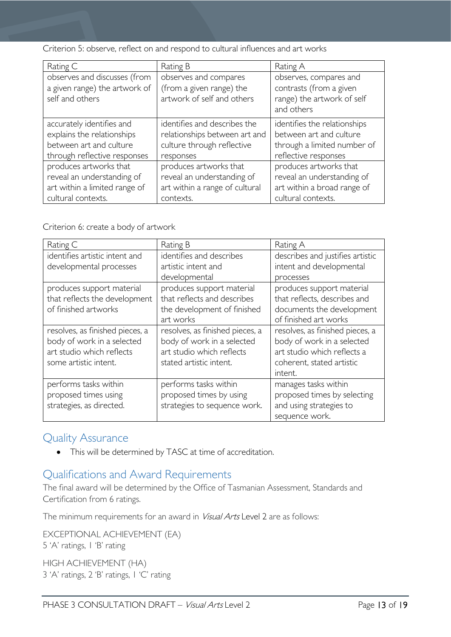Criterion 5: observe, reflect on and respond to cultural influences and art works

| Rating C                                                                                                           | Rating B                                                                                                 | Rating A                                                                                                       |
|--------------------------------------------------------------------------------------------------------------------|----------------------------------------------------------------------------------------------------------|----------------------------------------------------------------------------------------------------------------|
| observes and discusses (from<br>a given range) the artwork of<br>self and others                                   | observes and compares<br>(from a given range) the<br>artwork of self and others                          | observes, compares and<br>contrasts (from a given<br>range) the artwork of self<br>and others                  |
| accurately identifies and<br>explains the relationships<br>between art and culture<br>through reflective responses | identifies and describes the<br>relationships between art and<br>culture through reflective<br>responses | identifies the relationships<br>between art and culture<br>through a limited number of<br>reflective responses |
| produces artworks that<br>reveal an understanding of<br>art within a limited range of<br>cultural contexts.        | produces artworks that<br>reveal an understanding of<br>art within a range of cultural<br>contexts.      | produces artworks that<br>reveal an understanding of<br>art within a broad range of<br>cultural contexts.      |

Criterion 6: create a body of artwork

| Rating C                        | Rating B                        | Rating A                         |
|---------------------------------|---------------------------------|----------------------------------|
| identifies artistic intent and  | identifies and describes        | describes and justifies artistic |
| developmental processes         | artistic intent and             | intent and developmental         |
|                                 | developmental                   | processes                        |
| produces support material       | produces support material       | produces support material        |
| that reflects the development   | that reflects and describes     | that reflects, describes and     |
| of finished artworks            | the development of finished     | documents the development        |
|                                 | art works                       | of finished art works            |
| resolves, as finished pieces, a | resolves, as finished pieces, a | resolves, as finished pieces, a  |
| body of work in a selected      | body of work in a selected      | body of work in a selected       |
| art studio which reflects       | art studio which reflects       | art studio which reflects a      |
| some artistic intent.           | stated artistic intent.         | coherent, stated artistic        |
|                                 |                                 | intent.                          |
| performs tasks within           | performs tasks within           | manages tasks within             |
| proposed times using            | proposed times by using         | proposed times by selecting      |
| strategies, as directed.        | strategies to sequence work.    | and using strategies to          |
|                                 |                                 | sequence work.                   |

# <span id="page-12-0"></span>Quality Assurance

• This will be determined by TASC at time of accreditation.

# <span id="page-12-1"></span>Qualifications and Award Requirements

The final award will be determined by the Office of Tasmanian Assessment, Standards and Certification from 6 ratings.

The minimum requirements for an award in *Visual Arts* Level 2 are as follows:

EXCEPTIONAL ACHIEVEMENT (EA) 5 'A' ratings, 1 'B' rating

HIGH ACHIEVEMENT (HA) 3 'A' ratings, 2 'B' ratings, 1 'C' rating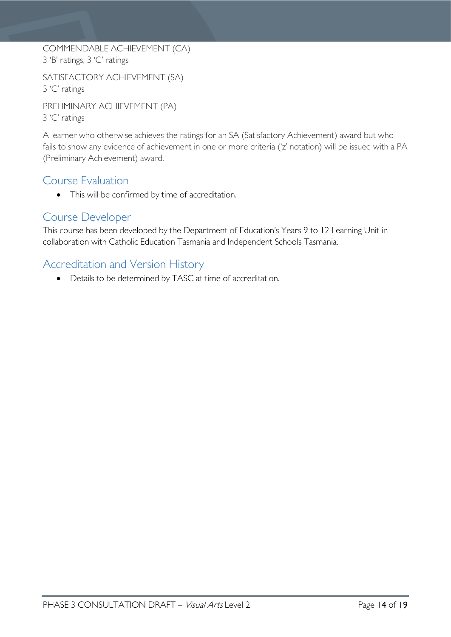COMMENDABLE ACHIEVEMENT (CA) 3 'B' ratings, 3 'C' ratings

SATISFACTORY ACHIEVEMENT (SA) 5 'C' ratings

PRELIMINARY ACHIEVEMENT (PA) 3 'C' ratings

A learner who otherwise achieves the ratings for an SA (Satisfactory Achievement) award but who fails to show any evidence of achievement in one or more criteria ('z' notation) will be issued with a PA (Preliminary Achievement) award.

# <span id="page-13-0"></span>Course Evaluation

• This will be confirmed by time of accreditation.

# <span id="page-13-1"></span>Course Developer

This course has been developed by the Department of Education's Years 9 to 12 Learning Unit in collaboration with Catholic Education Tasmania and Independent Schools Tasmania.

# <span id="page-13-2"></span>Accreditation and Version History

• Details to be determined by TASC at time of accreditation.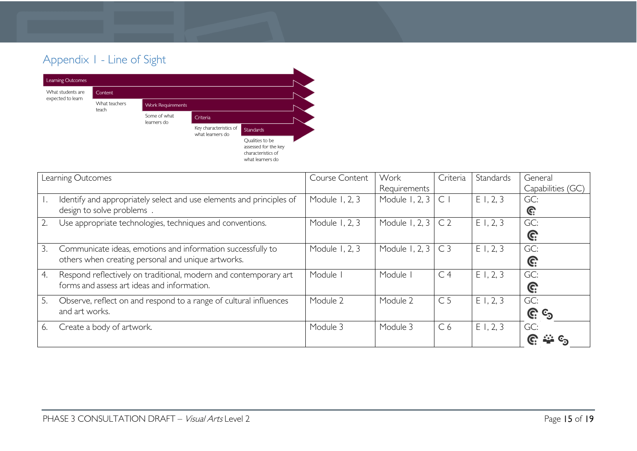# Appendix 1 - Line of Sight



<span id="page-14-0"></span>

| Learning Outcomes                                                          | Course Content | Work           | Criteria       | Standards | General           |
|----------------------------------------------------------------------------|----------------|----------------|----------------|-----------|-------------------|
|                                                                            |                | Requirements   |                |           | Capabilities (GC) |
| Identify and appropriately select and use elements and principles of<br>Ι. | Module 1, 2, 3 | Module 1, 2, 3 | $\mathsf{C}$   | E1, 2, 3  | GC:               |
| design to solve problems                                                   |                |                |                |           | C.                |
| Use appropriate technologies, techniques and conventions.                  | Module 1, 2, 3 | Module 1, 2, 3 | C <sub>2</sub> | E1, 2, 3  | GC:               |
|                                                                            |                |                |                |           | G:                |
| 3.<br>Communicate ideas, emotions and information successfully to          | Module 1, 2, 3 | Module 1, 2, 3 | C <sub>3</sub> | E1, 2, 3  | GC:               |
| others when creating personal and unique artworks.                         |                |                |                |           | G:                |
| Respond reflectively on traditional, modern and contemporary art<br>4.     | Module         | Module I       | C <sub>4</sub> | E1, 2, 3  | GC:               |
| forms and assess art ideas and information.                                |                |                |                |           | G:                |
| Observe, reflect on and respond to a range of cultural influences<br>5.    | Module 2       | Module 2       | C <sub>5</sub> | E1, 2, 3  | GC:               |
| and art works.                                                             |                |                |                |           | <u>ල</u> ද        |
| Create a body of artwork.<br>6.                                            | Module 3       | Module 3       | C <sub>6</sub> | E1, 2, 3  | GC:               |
|                                                                            |                |                |                |           |                   |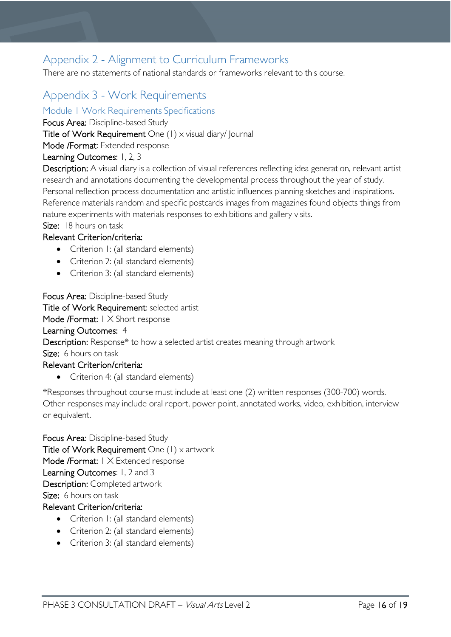# <span id="page-15-0"></span>Appendix 2 - Alignment to Curriculum Frameworks

There are no statements of national standards or frameworks relevant to this course.

# <span id="page-15-1"></span>Appendix 3 - Work Requirements

<span id="page-15-2"></span>Module 1 Work Requirements Specifications

Focus Area: Discipline-based Study

Title of Work Requirement One (1) x visual diary/ Journal

Mode /Format: Extended response

### Learning Outcomes: 1, 2, 3

Description: A visual diary is a collection of visual references reflecting idea generation, relevant artist research and annotations documenting the developmental process throughout the year of study. Personal reflection process documentation and artistic influences planning sketches and inspirations. Reference materials random and specific postcards images from magazines found objects things from nature experiments with materials responses to exhibitions and gallery visits.

Size: 18 hours on task

### Relevant Criterion/criteria:

- Criterion 1: (all standard elements)
- Criterion 2: (all standard elements)
- Criterion 3: (all standard elements)

Focus Area: Discipline-based Study

Title of Work Requirement: selected artist

Mode /Format: 1 X Short response

### Learning Outcomes: 4

Description: Response\* to how a selected artist creates meaning through artwork

Size: 6 hours on task

### Relevant Criterion/criteria:

• Criterion 4: (all standard elements)

\*Responses throughout course must include at least one (2) written responses (300-700) words. Other responses may include oral report, power point, annotated works, video, exhibition, interview or equivalent.

Focus Area: Discipline-based Study Title of Work Requirement One  $(1)$  x artwork Mode /Format: I X Extended response Learning Outcomes: 1, 2 and 3 Description: Completed artwork Size: 6 hours on task

### Relevant Criterion/criteria:

- Criterion 1: (all standard elements)
- Criterion 2: (all standard elements)
- Criterion 3: (all standard elements)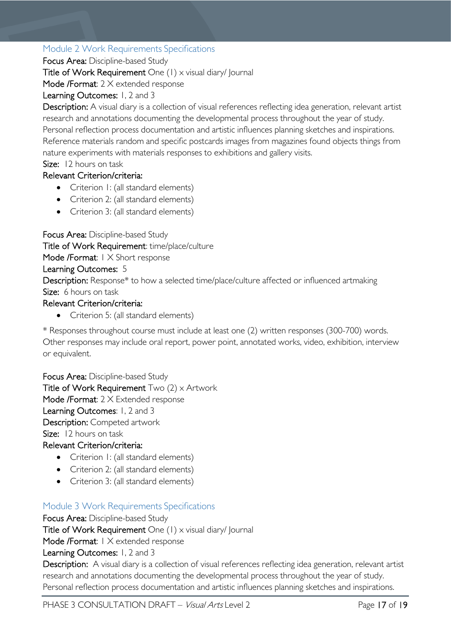### <span id="page-16-0"></span>Module 2 Work Requirements Specifications

Focus Area: Discipline-based Study

Title of Work Requirement One (1) x visual diary/ Journal

Mode /Format: 2 X extended response

### Learning Outcomes: 1, 2 and 3

Description: A visual diary is a collection of visual references reflecting idea generation, relevant artist research and annotations documenting the developmental process throughout the year of study. Personal reflection process documentation and artistic influences planning sketches and inspirations. Reference materials random and specific postcards images from magazines found objects things from nature experiments with materials responses to exhibitions and gallery visits.

Size: 12 hours on task

### Relevant Criterion/criteria:

- Criterion I: (all standard elements)
- Criterion 2: (all standard elements)
- Criterion 3: (all standard elements)

Focus Area: Discipline-based Study

Title of Work Requirement: time/place/culture

Mode /Format: 1 X Short response

### Learning Outcomes: 5

Description: Response\* to how a selected time/place/culture affected or influenced artmaking Size: 6 hours on task

### Relevant Criterion/criteria:

• Criterion 5: (all standard elements)

\* Responses throughout course must include at least one (2) written responses (300-700) words. Other responses may include oral report, power point, annotated works, video, exhibition, interview or equivalent.

Focus Area: Discipline-based Study Title of Work Requirement  $Two (2) \times$  Artwork Mode /Format: 2 X Extended response Learning Outcomes: 1, 2 and 3 Description: Competed artwork Size: 12 hours on task Relevant Criterion/criteria:

- Criterion I: (all standard elements)
- Criterion 2: (all standard elements)
- Criterion 3: (all standard elements)

### <span id="page-16-1"></span>Module 3 Work Requirements Specifications

Focus Area: Discipline-based Study Title of Work Requirement One (1) x visual diary/ Journal Mode /Format: 1 X extended response Learning Outcomes: 1, 2 and 3

Description: A visual diary is a collection of visual references reflecting idea generation, relevant artist research and annotations documenting the developmental process throughout the year of study. Personal reflection process documentation and artistic influences planning sketches and inspirations.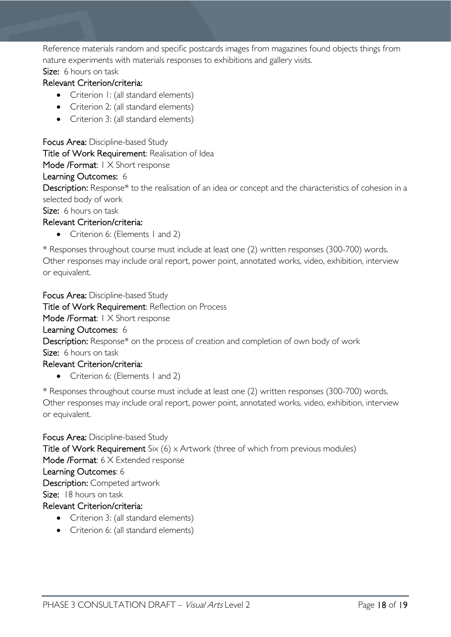Reference materials random and specific postcards images from magazines found objects things from nature experiments with materials responses to exhibitions and gallery visits.

Size: 6 hours on task

### Relevant Criterion/criteria:

- Criterion I: (all standard elements)
- Criterion 2: (all standard elements)
- Criterion 3: (all standard elements)

Focus Area: Discipline-based Study Title of Work Requirement: Realisation of Idea Mode /Format: 1 X Short response Learning Outcomes: 6 Description: Response\* to the realisation of an idea or concept and the characteristics of cohesion in a

selected body of work

Size: 6 hours on task Relevant Criterion/criteria:

- 
- Criterion 6: (Elements 1 and 2)

\* Responses throughout course must include at least one (2) written responses (300-700) words. Other responses may include oral report, power point, annotated works, video, exhibition, interview or equivalent.

Focus Area: Discipline-based Study

Title of Work Requirement: Reflection on Process

Mode /Format: 1 X Short response

### Learning Outcomes: 6

Description: Response\* on the process of creation and completion of own body of work Size: 6 hours on task

### Relevant Criterion/criteria:

• Criterion 6: (Elements 1 and 2)

\* Responses throughout course must include at least one (2) written responses (300-700) words. Other responses may include oral report, power point, annotated works, video, exhibition, interview or equivalent.

Focus Area: Discipline-based Study Title of Work Requirement Six  $(6)$  x Artwork (three of which from previous modules) Mode /Format: 6 X Extended response Learning Outcomes: 6 Description: Competed artwork Size: 18 hours on task Relevant Criterion/criteria:

- Criterion 3: (all standard elements)
- Criterion 6: (all standard elements)